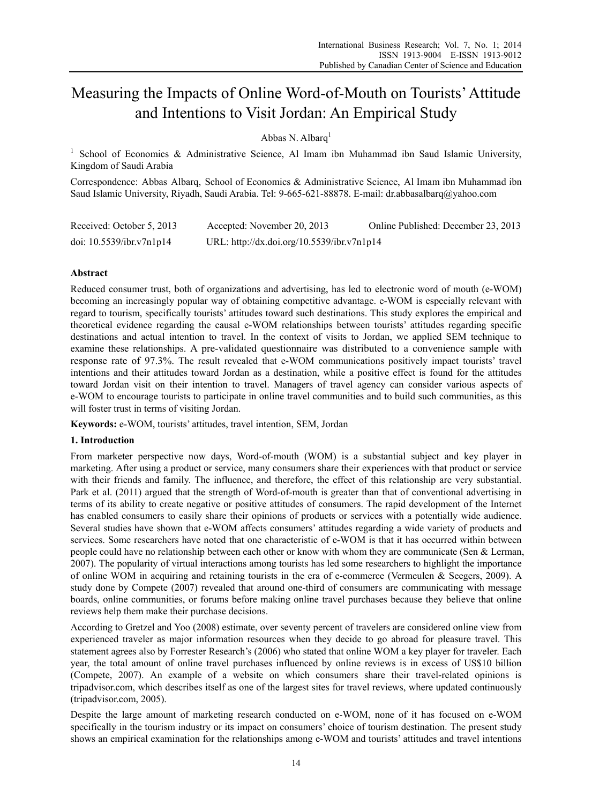# Measuring the Impacts of Online Word-of-Mouth on Tourists' Attitude and Intentions to Visit Jordan: An Empirical Study

Abbas N. Albarq<sup>1</sup>

<sup>1</sup> School of Economics & Administrative Science, Al Imam ibn Muhammad ibn Saud Islamic University, Kingdom of Saudi Arabia

Correspondence: Abbas Albarq, School of Economics & Administrative Science, Al Imam ibn Muhammad ibn Saud Islamic University, Riyadh, Saudi Arabia. Tel: 9-665-621-88878. E-mail: dr.abbasalbarq@yahoo.com

| Received: October 5, 2013   | Accepted: November 20, 2013                | Online Published: December 23, 2013 |
|-----------------------------|--------------------------------------------|-------------------------------------|
| doi: $10.5539$ /ibr.v7n1p14 | URL: http://dx.doi.org/10.5539/ibr.v7n1p14 |                                     |

# **Abstract**

Reduced consumer trust, both of organizations and advertising, has led to electronic word of mouth (e-WOM) becoming an increasingly popular way of obtaining competitive advantage. e*-*WOM is especially relevant with regard to tourism, specifically tourists' attitudes toward such destinations. This study explores the empirical and theoretical evidence regarding the causal e-WOM relationships between tourists' attitudes regarding specific destinations and actual intention to travel. In the context of visits to Jordan, we applied SEM technique to examine these relationships. A pre-validated questionnaire was distributed to a convenience sample with response rate of 97.3%. The result revealed that e-WOM communications positively impact tourists' travel intentions and their attitudes toward Jordan as a destination, while a positive effect is found for the attitudes toward Jordan visit on their intention to travel. Managers of travel agency can consider various aspects of e-WOM to encourage tourists to participate in online travel communities and to build such communities, as this will foster trust in terms of visiting Jordan.

**Keywords:** e-WOM, tourists' attitudes, travel intention, SEM, Jordan

## **1. Introduction**

From marketer perspective now days, Word-of-mouth (WOM) is a substantial subject and key player in marketing. After using a product or service, many consumers share their experiences with that product or service with their friends and family. The influence, and therefore, the effect of this relationship are very substantial. Park et al. (2011) argued that the strength of Word-of-mouth is greater than that of conventional advertising in terms of its ability to create negative or positive attitudes of consumers. The rapid development of the Internet has enabled consumers to easily share their opinions of products or services with a potentially wide audience. Several studies have shown that e-WOM affects consumers' attitudes regarding a wide variety of products and services. Some researchers have noted that one characteristic of e-WOM is that it has occurred within between people could have no relationship between each other or know with whom they are communicate (Sen & Lerman, 2007). The popularity of virtual interactions among tourists has led some researchers to highlight the importance of online WOM in acquiring and retaining tourists in the era of e-commerce (Vermeulen & Seegers, 2009). A study done by Compete (2007) revealed that around one-third of consumers are communicating with message boards, online communities, or forums before making online travel purchases because they believe that online reviews help them make their purchase decisions.

According to Gretzel and Yoo (2008) estimate, over seventy percent of travelers are considered online view from experienced traveler as major information resources when they decide to go abroad for pleasure travel. This statement agrees also by Forrester Research's (2006) who stated that online WOM a key player for traveler. Each year, the total amount of online travel purchases influenced by online reviews is in excess of US\$10 billion (Compete, 2007). An example of a website on which consumers share their travel-related opinions is tripadvisor.com, which describes itself as one of the largest sites for travel reviews, where updated continuously (tripadvisor.com, 2005).

Despite the large amount of marketing research conducted on e-WOM, none of it has focused on e-WOM specifically in the tourism industry or its impact on consumers' choice of tourism destination. The present study shows an empirical examination for the relationships among e-WOM and tourists' attitudes and travel intentions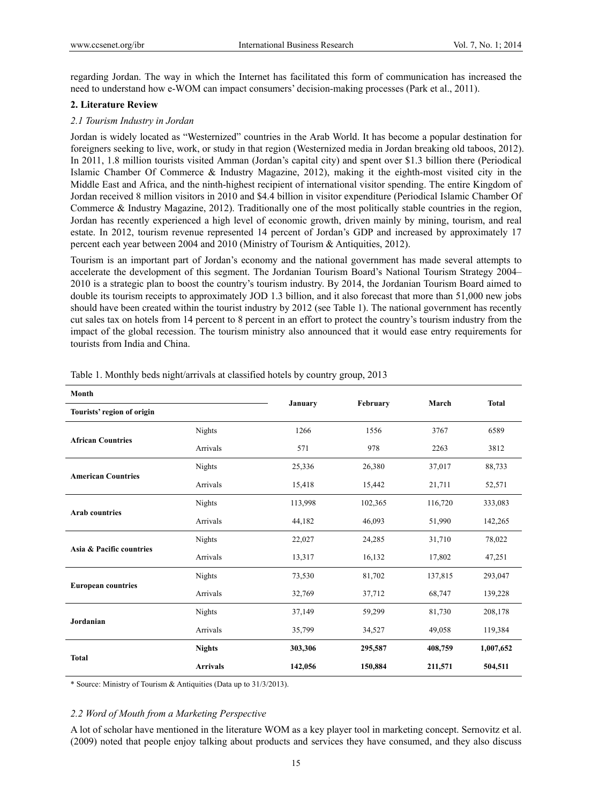regarding Jordan. The way in which the Internet has facilitated this form of communication has increased the need to understand how e-WOM can impact consumers' decision-making processes (Park et al., 2011).

# **2. Literature Review**

## *2.1 Tourism Industry in Jordan*

Jordan is widely located as "Westernized" countries in the Arab World. It has become a popular destination for foreigners seeking to live, work, or study in that region (Westernized media in Jordan breaking old taboos, 2012). In 2011, 1.8 million tourists visited Amman (Jordan's capital city) and spent over \$1.3 billion there (Periodical Islamic Chamber Of Commerce & Industry Magazine, 2012), making it the eighth-most visited city in the Middle East and Africa, and the ninth-highest recipient of international visitor spending. The entire Kingdom of Jordan received 8 million visitors in 2010 and \$4.4 billion in visitor expenditure (Periodical Islamic Chamber Of Commerce & Industry Magazine, 2012). Traditionally one of the most politically stable countries in the region, Jordan has recently experienced a high level of economic growth, driven mainly by mining, tourism, and real estate. In 2012, tourism revenue represented 14 percent of Jordan's GDP and increased by approximately 17 percent each year between 2004 and 2010 (Ministry of Tourism & Antiquities, 2012).

Tourism is an important part of Jordan's economy and the national government has made several attempts to accelerate the development of this segment. The Jordanian Tourism Board's National Tourism Strategy 2004– 2010 is a strategic plan to boost the country's tourism industry. By 2014, the Jordanian Tourism Board aimed to double its tourism receipts to approximately JOD 1.3 billion, and it also forecast that more than 51,000 new jobs should have been created within the tourist industry by 2012 (see Table 1). The national government has recently cut sales tax on hotels from 14 percent to 8 percent in an effort to protect the country's tourism industry from the impact of the global recession. The tourism ministry also announced that it would ease entry requirements for tourists from India and China.

| Month                      |                 | January |          | March   | <b>Total</b> |  |
|----------------------------|-----------------|---------|----------|---------|--------------|--|
| Tourists' region of origin |                 |         | February |         |              |  |
|                            | Nights          | 1266    | 1556     | 3767    | 6589         |  |
| <b>African Countries</b>   | Arrivals        | 571     | 978      | 2263    | 3812         |  |
|                            | Nights          | 25,336  | 26,380   | 37,017  | 88,733       |  |
| <b>American Countries</b>  | Arrivals        | 15,418  | 15,442   | 21,711  | 52,571       |  |
|                            | <b>Nights</b>   | 113,998 | 102,365  | 116,720 | 333,083      |  |
| <b>Arab countries</b>      | Arrivals        | 44,182  | 46,093   | 51,990  | 142,265      |  |
|                            | Nights          | 22,027  | 24,285   | 31,710  | 78,022       |  |
| Asia & Pacific countries   | Arrivals        | 13,317  | 16,132   | 17,802  | 47,251       |  |
|                            | <b>Nights</b>   | 73,530  | 81,702   | 137,815 | 293,047      |  |
| <b>European countries</b>  | Arrivals        | 32,769  | 37,712   | 68,747  | 139,228      |  |
|                            | Nights          | 37,149  | 59,299   | 81,730  | 208,178      |  |
| Jordanian                  | Arrivals        | 35,799  | 34,527   | 49,058  | 119,384      |  |
| <b>Total</b>               | <b>Nights</b>   | 303,306 | 295,587  | 408,759 | 1,007,652    |  |
|                            | <b>Arrivals</b> | 142,056 | 150,884  | 211,571 | 504,511      |  |

Table 1. Monthly beds night/arrivals at classified hotels by country group, 2013

\* Source: Ministry of Tourism & Antiquities (Data up to 31/3/2013).

# *2.2 Word of Mouth from a Marketing Perspective*

A lot of scholar have mentioned in the literature WOM as a key player tool in marketing concept. Sernovitz et al. (2009) noted that people enjoy talking about products and services they have consumed, and they also discuss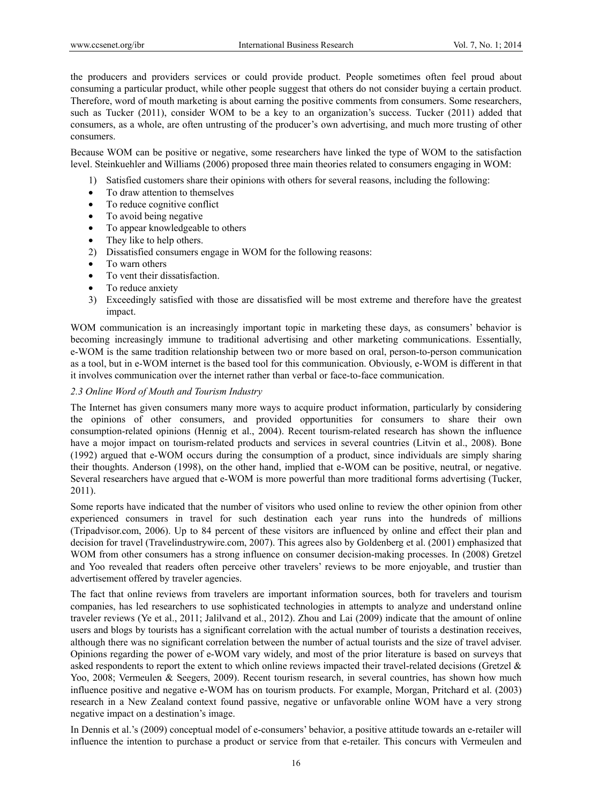the producers and providers services or could provide product. People sometimes often feel proud about consuming a particular product, while other people suggest that others do not consider buying a certain product. Therefore, word of mouth marketing is about earning the positive comments from consumers. Some researchers, such as Tucker (2011), consider WOM to be a key to an organization's success. Tucker (2011) added that consumers, as a whole, are often untrusting of the producer's own advertising, and much more trusting of other consumers.

Because WOM can be positive or negative, some researchers have linked the type of WOM to the satisfaction level. Steinkuehler and Williams (2006) proposed three main theories related to consumers engaging in WOM:

- 1) Satisfied customers share their opinions with others for several reasons, including the following:
- To draw attention to themselves
- To reduce cognitive conflict
- To avoid being negative
- To appear knowledgeable to others
- They like to help others.
- 2) Dissatisfied consumers engage in WOM for the following reasons:
- To warn others
- To vent their dissatisfaction.
- To reduce anxiety
- 3) Exceedingly satisfied with those are dissatisfied will be most extreme and therefore have the greatest impact.

WOM communication is an increasingly important topic in marketing these days, as consumers' behavior is becoming increasingly immune to traditional advertising and other marketing communications. Essentially, e-WOM is the same tradition relationship between two or more based on oral, person-to-person communication as a tool, but in e-WOM internet is the based tool for this communication. Obviously, e-WOM is different in that it involves communication over the internet rather than verbal or face-to-face communication.

## *2.3 Online Word of Mouth and Tourism Industry*

The Internet has given consumers many more ways to acquire product information, particularly by considering the opinions of other consumers, and provided opportunities for consumers to share their own consumption-related opinions (Hennig et al., 2004). Recent tourism-related research has shown the influence have a mojor impact on tourism-related products and services in several countries (Litvin et al., 2008). Bone (1992) argued that e-WOM occurs during the consumption of a product, since individuals are simply sharing their thoughts. Anderson (1998), on the other hand, implied that e-WOM can be positive, neutral, or negative. Several researchers have argued that e-WOM is more powerful than more traditional forms advertising (Tucker, 2011).

Some reports have indicated that the number of visitors who used online to review the other opinion from other experienced consumers in travel for such destination each year runs into the hundreds of millions (Tripadvisor.com, 2006). Up to 84 percent of these visitors are influenced by online and effect their plan and decision for travel (Travelindustrywire.com, 2007). This agrees also by Goldenberg et al. (2001) emphasized that WOM from other consumers has a strong influence on consumer decision-making processes. In (2008) Gretzel and Yoo revealed that readers often perceive other travelers' reviews to be more enjoyable, and trustier than advertisement offered by traveler agencies.

The fact that online reviews from travelers are important information sources, both for travelers and tourism companies, has led researchers to use sophisticated technologies in attempts to analyze and understand online traveler reviews (Ye et al., 2011; Jalilvand et al., 2012). Zhou and Lai (2009) indicate that the amount of online users and blogs by tourists has a significant correlation with the actual number of tourists a destination receives, although there was no significant correlation between the number of actual tourists and the size of travel adviser. Opinions regarding the power of e-WOM vary widely, and most of the prior literature is based on surveys that asked respondents to report the extent to which online reviews impacted their travel-related decisions (Gretzel & Yoo, 2008; Vermeulen & Seegers, 2009). Recent tourism research, in several countries, has shown how much influence positive and negative e-WOM has on tourism products. For example, Morgan, Pritchard et al. (2003) research in a New Zealand context found passive, negative or unfavorable online WOM have a very strong negative impact on a destination's image.

In Dennis et al.'s (2009) conceptual model of e-consumers' behavior, a positive attitude towards an e-retailer will influence the intention to purchase a product or service from that e-retailer. This concurs with Vermeulen and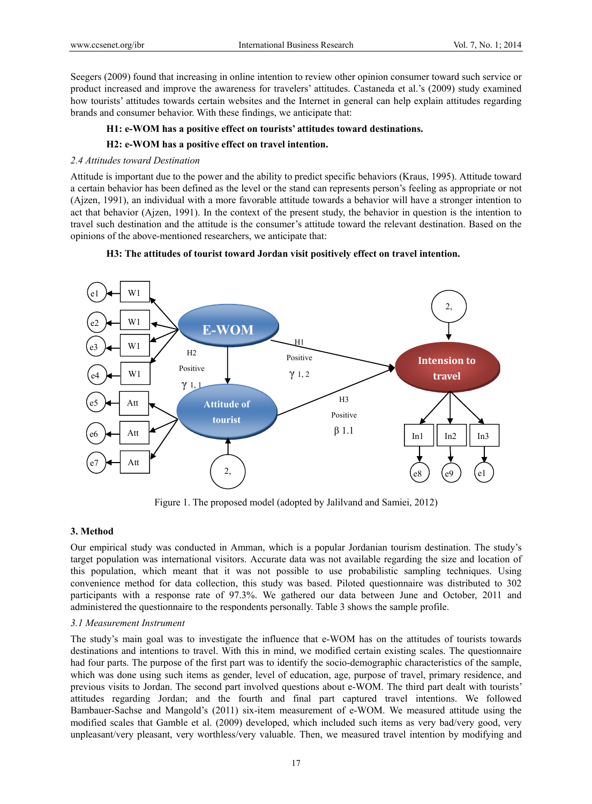Seegers (2009) found that increasing in online intention to review other opinion consumer toward such service or product increased and improve the awareness for travelers' attitudes. Castaneda et al.'s (2009) study examined how tourists' attitudes towards certain websites and the Internet in general can help explain attitudes regarding brands and consumer behavior. With these findings, we anticipate that:

# **H1: e-WOM has a positive effect on tourists' attitudes toward destinations.**

# **H2: e-WOM has a positive effect on travel intention.**

## *2.4 Attitudes toward Destination*

Attitude is important due to the power and the ability to predict specific behaviors (Kraus, 1995). Attitude toward a certain behavior has been defined as the level or the stand can represents person's feeling as appropriate or not (Ajzen, 1991), an individual with a more favorable attitude towards a behavior will have a stronger intention to act that behavior (Ajzen, 1991). In the context of the present study, the behavior in question is the intention to travel such destination and the attitude is the consumer's attitude toward the relevant destination. Based on the opinions of the above-mentioned researchers, we anticipate that:

# **H3: The attitudes of tourist toward Jordan visit positively effect on travel intention.**



Figure 1. The proposed model (adopted by Jalilvand and Samiei, 2012)

## **3. Method**

Our empirical study was conducted in Amman, which is a popular Jordanian tourism destination. The study's target population was international visitors. Accurate data was not available regarding the size and location of this population, which meant that it was not possible to use probabilistic sampling techniques. Using convenience method for data collection, this study was based. Piloted questionnaire was distributed to 302 participants with a response rate of 97.3%. We gathered our data between June and October, 2011 and administered the questionnaire to the respondents personally. Table 3 shows the sample profile.

## *3.1 Measurement Instrument*

The study's main goal was to investigate the influence that e-WOM has on the attitudes of tourists towards destinations and intentions to travel. With this in mind, we modified certain existing scales. The questionnaire had four parts. The purpose of the first part was to identify the socio-demographic characteristics of the sample, which was done using such items as gender, level of education, age, purpose of travel, primary residence, and previous visits to Jordan. The second part involved questions about e-WOM. The third part dealt with tourists' attitudes regarding Jordan; and the fourth and final part captured travel intentions. We followed Bambauer-Sachse and Mangold's (2011) six-item measurement of e-WOM. We measured attitude using the modified scales that Gamble et al. (2009) developed, which included such items as very bad/very good, very unpleasant/very pleasant, very worthless/very valuable. Then, we measured travel intention by modifying and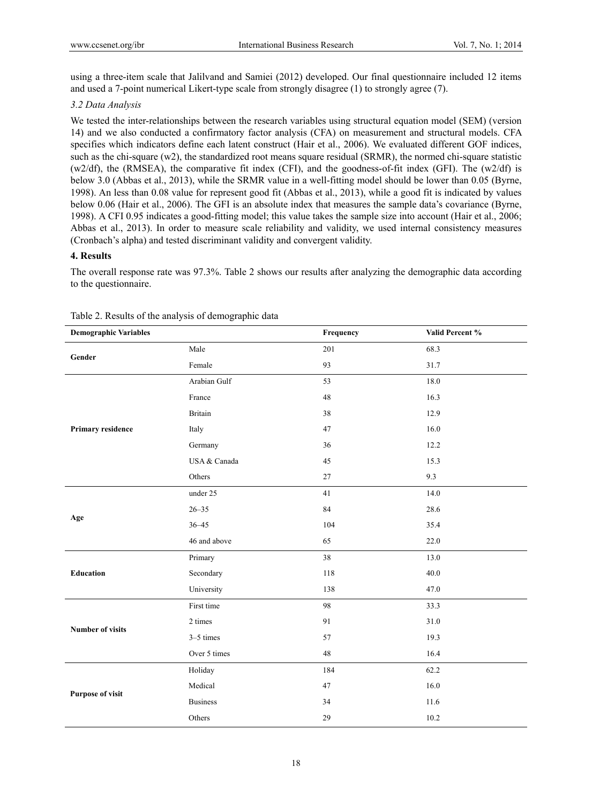using a three-item scale that Jalilvand and Samiei (2012) developed. Our final questionnaire included 12 items and used a 7-point numerical Likert-type scale from strongly disagree (1) to strongly agree (7).

## *3.2 Data Analysis*

We tested the inter-relationships between the research variables using structural equation model (SEM) (version 14) and we also conducted a confirmatory factor analysis (CFA) on measurement and structural models. CFA specifies which indicators define each latent construct (Hair et al., 2006). We evaluated different GOF indices, such as the chi-square  $(w2)$ , the standardized root means square residual (SRMR), the normed chi-square statistic (w2/df), the (RMSEA), the comparative fit index (CFI), and the goodness-of-fit index (GFI). The (w2/df) is below 3.0 (Abbas et al., 2013), while the SRMR value in a well-fitting model should be lower than 0.05 (Byrne, 1998). An less than 0.08 value for represent good fit (Abbas et al., 2013), while a good fit is indicated by values below 0.06 (Hair et al., 2006). The GFI is an absolute index that measures the sample data's covariance (Byrne, 1998). A CFI 0.95 indicates a good-fitting model; this value takes the sample size into account (Hair et al., 2006; Abbas et al., 2013). In order to measure scale reliability and validity, we used internal consistency measures (Cronbach's alpha) and tested discriminant validity and convergent validity.

# **4. Results**

The overall response rate was 97.3%. Table 2 shows our results after analyzing the demographic data according to the questionnaire.

| <b>Demographic Variables</b> |                 | Frequency | Valid Percent % |
|------------------------------|-----------------|-----------|-----------------|
| Gender                       | Male            | 201       | 68.3            |
|                              | Female          | 93        | 31.7            |
|                              | Arabian Gulf    | 53        | 18.0            |
|                              | France          | 48        | 16.3            |
|                              | <b>Britain</b>  | 38        | 12.9            |
| Primary residence            | Italy           | 47        | 16.0            |
|                              | Germany         | 36        | 12.2            |
|                              | USA & Canada    | 45        | 15.3            |
|                              | Others          | 27        | 9.3             |
|                              | under 25        | 41        | 14.0            |
|                              | $26 - 35$       | 84        | 28.6            |
| Age                          | $36 - 45$       | 104       | 35.4            |
|                              | 46 and above    | 65        | 22.0            |
| <b>Education</b>             | Primary         | 38        | 13.0            |
|                              | Secondary       | 118       | 40.0            |
|                              | University      | 138       | 47.0            |
|                              | First time      | 98        | 33.3            |
| <b>Number of visits</b>      | 2 times         | 91        | 31.0            |
|                              | $3-5$ times     | 57        | 19.3            |
|                              | Over 5 times    | 48        | 16.4            |
|                              | Holiday         | 184       | 62.2            |
| <b>Purpose of visit</b>      | Medical         | 47        | 16.0            |
|                              | <b>Business</b> | 34        | 11.6            |
|                              | Others          | 29        | $10.2\,$        |

#### Table 2. Results of the analysis of demographic data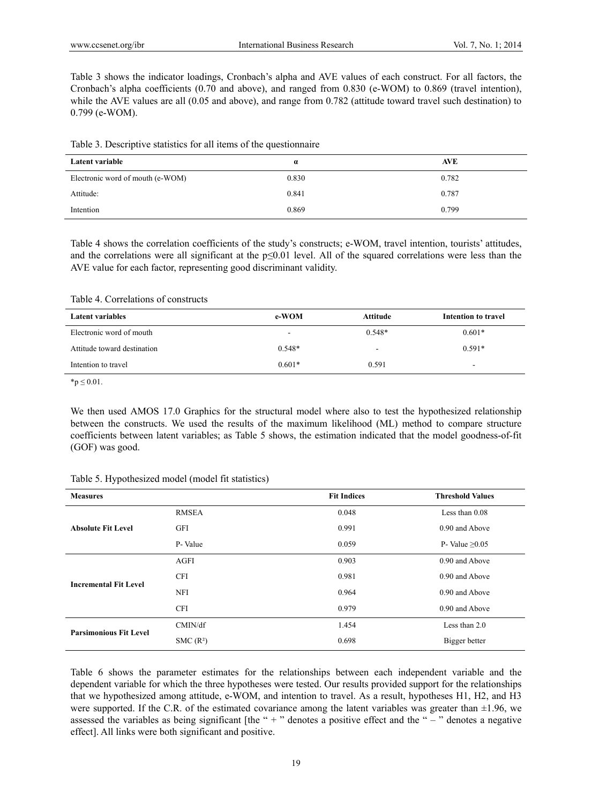Table 3 shows the indicator loadings, Cronbach's alpha and AVE values of each construct. For all factors, the Cronbach's alpha coefficients (0.70 and above), and ranged from 0.830 (e-WOM) to 0.869 (travel intention), while the AVE values are all (0.05 and above), and range from 0.782 (attitude toward travel such destination) to 0.799 (e-WOM).

|  |  |  | Table 3. Descriptive statistics for all items of the questionnaire |
|--|--|--|--------------------------------------------------------------------|
|  |  |  |                                                                    |

| Latent variable                  | $\alpha$ | <b>AVE</b> |
|----------------------------------|----------|------------|
| Electronic word of mouth (e-WOM) | 0.830    | 0.782      |
| Attitude:                        | 0.841    | 0.787      |
| Intention                        | 0.869    | 0.799      |

Table 4 shows the correlation coefficients of the study's constructs; e-WOM, travel intention, tourists' attitudes, and the correlations were all significant at the p≤0.01 level. All of the squared correlations were less than the AVE value for each factor, representing good discriminant validity.

#### Table 4. Correlations of constructs

| Latent variables            | e-WOM    | Attitude                 | Intention to travel |
|-----------------------------|----------|--------------------------|---------------------|
| Electronic word of mouth    | $\sim$   | $0.548*$                 | $0.601*$            |
| Attitude toward destination | $0.548*$ | $\overline{\phantom{a}}$ | $0.591*$            |
| Intention to travel         | $0.601*$ | 0.591                    |                     |

 $*$ p  $\leq$  0.01.

We then used AMOS 17.0 Graphics for the structural model where also to test the hypothesized relationship between the constructs. We used the results of the maximum likelihood (ML) method to compare structure coefficients between latent variables; as Table 5 shows, the estimation indicated that the model goodness-of-fit (GOF) was good.

| Table 5. Hypothesized model (model fit statistics) |  |  |
|----------------------------------------------------|--|--|
|                                                    |  |  |

| <b>Measures</b>               |                      | <b>Fit Indices</b> | <b>Threshold Values</b> |
|-------------------------------|----------------------|--------------------|-------------------------|
| <b>Absolute Fit Level</b>     | <b>RMSEA</b>         | 0.048              | Less than $0.08$        |
|                               | <b>GFI</b>           | 0.991              | 0.90 and Above          |
|                               | P-Value              | 0.059              | P- Value $\geq 0.05$    |
| <b>Incremental Fit Level</b>  | AGFI                 | 0.903              | 0.90 and Above          |
|                               | <b>CFI</b>           | 0.981              | 0.90 and Above          |
|                               | <b>NFI</b>           | 0.964              | 0.90 and Above          |
|                               | <b>CFI</b>           | 0.979              | 0.90 and Above          |
| <b>Parsimonious Fit Level</b> | CMIN/df              | 1.454              | Less than $2.0$         |
|                               | SMC(R <sup>2</sup> ) | 0.698              | Bigger better           |

Table 6 shows the parameter estimates for the relationships between each independent variable and the dependent variable for which the three hypotheses were tested. Our results provided support for the relationships that we hypothesized among attitude, e-WOM, and intention to travel. As a result, hypotheses H1, H2, and H3 were supported. If the C.R. of the estimated covariance among the latent variables was greater than  $\pm 1.96$ , we assessed the variables as being significant [the " $+$ " denotes a positive effect and the " $-$ " denotes a negative effect]. All links were both significant and positive.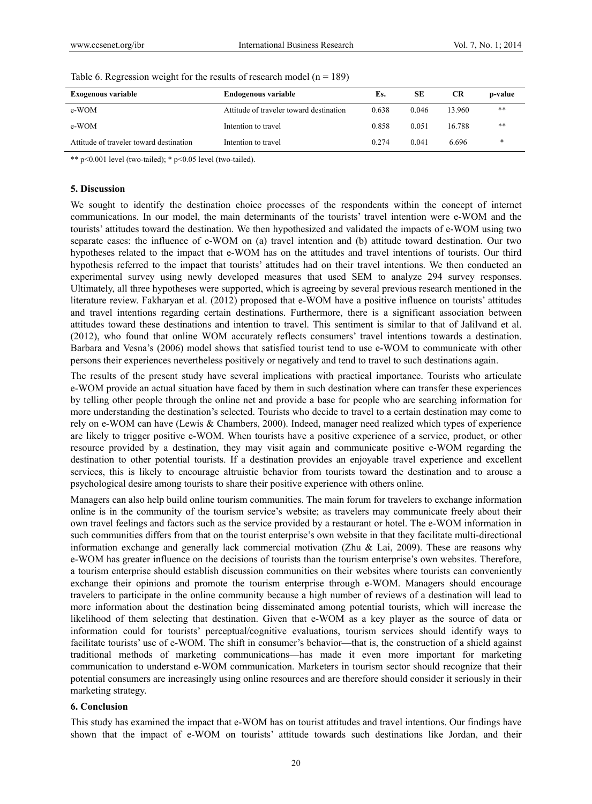| <b>Exogenous variable</b>               | <b>Endogenous variable</b>              | Es.   | SЕ    | <b>CR</b> | p-value |
|-----------------------------------------|-----------------------------------------|-------|-------|-----------|---------|
| e-WOM                                   | Attitude of traveler toward destination | 0.638 | 0.046 | 13.960    | $***$   |
| e-WOM                                   | Intention to travel                     | 0.858 | 0.051 | 16.788    | **      |
| Attitude of traveler toward destination | Intention to travel                     | 0.274 | 0.041 | 6.696     | *       |

\*\* p<0.001 level (two-tailed); \* p<0.05 level (two-tailed).

#### **5. Discussion**

We sought to identify the destination choice processes of the respondents within the concept of internet communications. In our model, the main determinants of the tourists' travel intention were e-WOM and the tourists' attitudes toward the destination. We then hypothesized and validated the impacts of e-WOM using two separate cases: the influence of e-WOM on (a) travel intention and (b) attitude toward destination. Our two hypotheses related to the impact that e-WOM has on the attitudes and travel intentions of tourists. Our third hypothesis referred to the impact that tourists' attitudes had on their travel intentions. We then conducted an experimental survey using newly developed measures that used SEM to analyze 294 survey responses. Ultimately, all three hypotheses were supported, which is agreeing by several previous research mentioned in the literature review. Fakharyan et al. (2012) proposed that e-WOM have a positive influence on tourists' attitudes and travel intentions regarding certain destinations. Furthermore, there is a significant association between attitudes toward these destinations and intention to travel. This sentiment is similar to that of Jalilvand et al. (2012), who found that online WOM accurately reflects consumers' travel intentions towards a destination. Barbara and Vesna's (2006) model shows that satisfied tourist tend to use e-WOM to communicate with other persons their experiences nevertheless positively or negatively and tend to travel to such destinations again.

The results of the present study have several implications with practical importance. Tourists who articulate e-WOM provide an actual situation have faced by them in such destination where can transfer these experiences by telling other people through the online net and provide a base for people who are searching information for more understanding the destination's selected. Tourists who decide to travel to a certain destination may come to rely on e-WOM can have (Lewis & Chambers, 2000). Indeed, manager need realized which types of experience are likely to trigger positive e-WOM. When tourists have a positive experience of a service, product, or other resource provided by a destination, they may visit again and communicate positive e-WOM regarding the destination to other potential tourists. If a destination provides an enjoyable travel experience and excellent services, this is likely to encourage altruistic behavior from tourists toward the destination and to arouse a psychological desire among tourists to share their positive experience with others online.

Managers can also help build online tourism communities. The main forum for travelers to exchange information online is in the community of the tourism service's website; as travelers may communicate freely about their own travel feelings and factors such as the service provided by a restaurant or hotel. The e-WOM information in such communities differs from that on the tourist enterprise's own website in that they facilitate multi-directional information exchange and generally lack commercial motivation (Zhu & Lai, 2009). These are reasons why e-WOM has greater influence on the decisions of tourists than the tourism enterprise's own websites. Therefore, a tourism enterprise should establish discussion communities on their websites where tourists can conveniently exchange their opinions and promote the tourism enterprise through e-WOM. Managers should encourage travelers to participate in the online community because a high number of reviews of a destination will lead to more information about the destination being disseminated among potential tourists, which will increase the likelihood of them selecting that destination. Given that e-WOM as a key player as the source of data or information could for tourists' perceptual/cognitive evaluations, tourism services should identify ways to facilitate tourists' use of e-WOM. The shift in consumer's behavior—that is, the construction of a shield against traditional methods of marketing communications—has made it even more important for marketing communication to understand e-WOM communication. Marketers in tourism sector should recognize that their potential consumers are increasingly using online resources and are therefore should consider it seriously in their marketing strategy.

#### **6. Conclusion**

This study has examined the impact that e-WOM has on tourist attitudes and travel intentions. Our findings have shown that the impact of e-WOM on tourists' attitude towards such destinations like Jordan, and their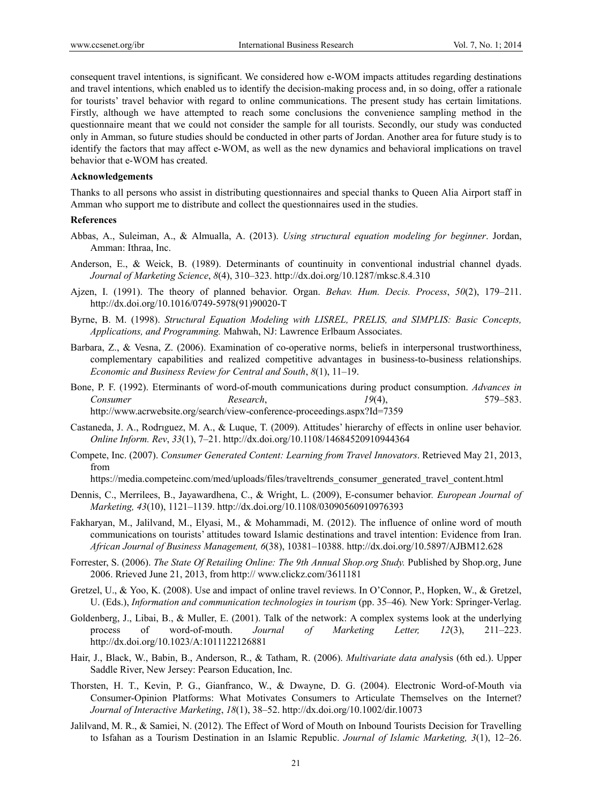consequent travel intentions, is significant. We considered how e-WOM impacts attitudes regarding destinations and travel intentions, which enabled us to identify the decision-making process and, in so doing, offer a rationale for tourists' travel behavior with regard to online communications. The present study has certain limitations. Firstly, although we have attempted to reach some conclusions the convenience sampling method in the questionnaire meant that we could not consider the sample for all tourists. Secondly, our study was conducted only in Amman, so future studies should be conducted in other parts of Jordan. Another area for future study is to identify the factors that may affect e-WOM, as well as the new dynamics and behavioral implications on travel behavior that e-WOM has created.

#### **Acknowledgements**

Thanks to all persons who assist in distributing questionnaires and special thanks to Queen Alia Airport staff in Amman who support me to distribute and collect the questionnaires used in the studies.

#### **References**

- Abbas, A., Suleiman, A., & Almualla, A. (2013). *Using structural equation modeling for beginner*. Jordan, Amman: Ithraa, Inc.
- Anderson, E., & Weick, B. (1989). Determinants of countinuity in conventional industrial channel dyads. *Journal of Marketing Science*, *8*(4), 310–323. http://dx.doi.org/10.1287/mksc.8.4.310
- Ajzen, I. (1991). The theory of planned behavior. Organ. *Behav. Hum. Decis. Process*, *50*(2), 179–211. http://dx.doi.org/10.1016/0749-5978(91)90020-T
- Byrne, B. M. (1998). *Structural Equation Modeling with LISREL, PRELIS, and SIMPLIS: Basic Concepts, Applications, and Programming.* Mahwah, NJ: Lawrence Erlbaum Associates.
- Barbara, Z., & Vesna, Z. (2006). Examination of co-operative norms, beliefs in interpersonal trustworthiness, complementary capabilities and realized competitive advantages in business-to-business relationships. *Economic and Business Review for Central and South*, *8*(1), 11–19.
- Bone, P. F. (1992). Eterminants of word-of-mouth communications during product consumption. *Advances in Consumer Research*, *19*(4), 579–583. http://www.acrwebsite.org/search/view-conference-proceedings.aspx?Id=7359
- Castaneda, J. A., Rodrıguez, M. A., & Luque, T. (2009). Attitudes' hierarchy of effects in online user behavior. *Online Inform. Rev*, *33*(1), 7–21. http://dx.doi.org/10.1108/14684520910944364
- Compete, Inc. (2007). *Consumer Generated Content: Learning from Travel Innovators*. Retrieved May 21, 2013, from

https://media.competeinc.com/med/uploads/files/traveltrends\_consumer\_generated\_travel\_content.html

- Dennis, C., Merrilees, B., Jayawardhena, C., & Wright, L. (2009), E-consumer behavior*. European Journal of Marketing, 43*(10), 1121–1139. http://dx.doi.org/10.1108/03090560910976393
- Fakharyan, M., Jalilvand, M., Elyasi, M., & Mohammadi, M. (2012). The influence of online word of mouth communications on tourists' attitudes toward Islamic destinations and travel intention: Evidence from Iran. *African Journal of Business Management, 6*(38), 10381–10388. http://dx.doi.org/10.5897/AJBM12.628
- Forrester, S. (2006). *The State Of Retailing Online: The 9th Annual Shop.org Study.* Published by Shop.org, June 2006. Rrieved June 21, 2013, from http:// www.clickz.com/3611181
- Gretzel, U., & Yoo, K. (2008). Use and impact of online travel reviews. In O'Connor, P., Hopken, W., & Gretzel, U. (Eds.), *Information and communication technologies in tourism* (pp. 35–46)*.* New York: Springer-Verlag.
- Goldenberg, J., Libai, B., & Muller, E. (2001). Talk of the network: A complex systems look at the underlying process of word-of-mouth. *Journal of Marketing Letter, 12*(3), 211–223. http://dx.doi.org/10.1023/A:1011122126881
- Hair, J., Black, W., Babin, B., Anderson, R., & Tatham, R. (2006). *Multivariate data anal*ysis (6th ed.). Upper Saddle River, New Jersey: Pearson Education, Inc.
- Thorsten, H. T., Kevin, P. G., Gianfranco, W., & Dwayne, D. G. (2004). Electronic Word-of-Mouth via Consumer-Opinion Platforms: What Motivates Consumers to Articulate Themselves on the Internet? *Journal of Interactive Marketing*, *18*(1), 38–52. http://dx.doi.org/10.1002/dir.10073
- Jalilvand, M. R., & Samiei, N. (2012). The Effect of Word of Mouth on Inbound Tourists Decision for Travelling to Isfahan as a Tourism Destination in an Islamic Republic. *Journal of Islamic Marketing, 3*(1), 12–26.